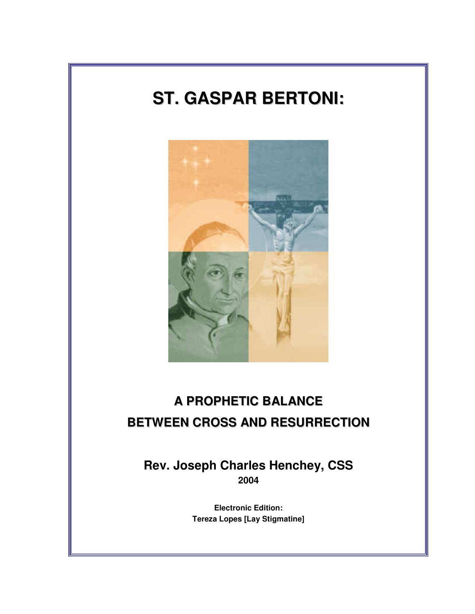# **ST. GASPAR BERTONI:**



## **A PROPHETIC BALANCE BETWEEN CROSS AND RESURRECTION**

**Rev. Joseph Charles Henchey, CSS 2004** 

> **Electronic Edition: Tereza Lopes [Lay Stigmatine]**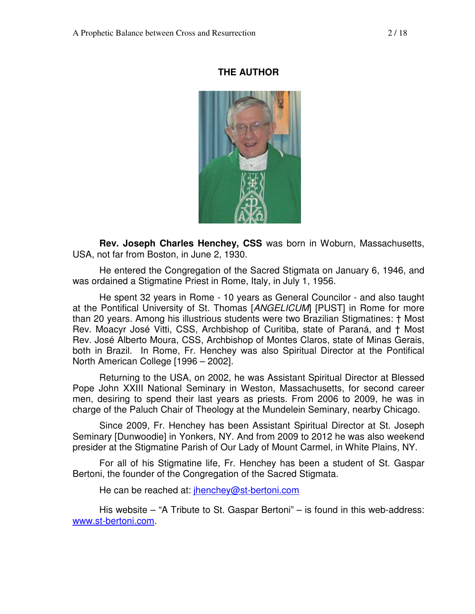#### **THE AUTHOR**



**Rev. Joseph Charles Henchey, CSS** was born in Woburn, Massachusetts, USA, not far from Boston, in June 2, 1930.

He entered the Congregation of the Sacred Stigmata on January 6, 1946, and was ordained a Stigmatine Priest in Rome, Italy, in July 1, 1956.

He spent 32 years in Rome - 10 years as General Councilor - and also taught at the Pontifical University of St. Thomas [ANGELICUM] [PUST] in Rome for more than 20 years. Among his illustrious students were two Brazilian Stigmatines: † Most Rev. Moacyr José Vitti, CSS, Archbishop of Curitiba, state of Paraná, and † Most Rev. José Alberto Moura, CSS, Archbishop of Montes Claros, state of Minas Gerais, both in Brazil. In Rome, Fr. Henchey was also Spiritual Director at the Pontifical North American College [1996 – 2002].

Returning to the USA, on 2002, he was Assistant Spiritual Director at Blessed Pope John XXIII National Seminary in Weston, Massachusetts, for second career men, desiring to spend their last years as priests. From 2006 to 2009, he was in charge of the Paluch Chair of Theology at the Mundelein Seminary, nearby Chicago.

Since 2009, Fr. Henchey has been Assistant Spiritual Director at St. Joseph Seminary [Dunwoodie] in Yonkers, NY. And from 2009 to 2012 he was also weekend presider at the Stigmatine Parish of Our Lady of Mount Carmel, in White Plains, NY.

For all of his Stigmatine life, Fr. Henchey has been a student of St. Gaspar Bertoni, the founder of the Congregation of the Sacred Stigmata.

He can be reached at: *jhenchey@st-bertoni.com* 

His website – "A Tribute to St. Gaspar Bertoni" – is found in this web-address: www.st-bertoni.com.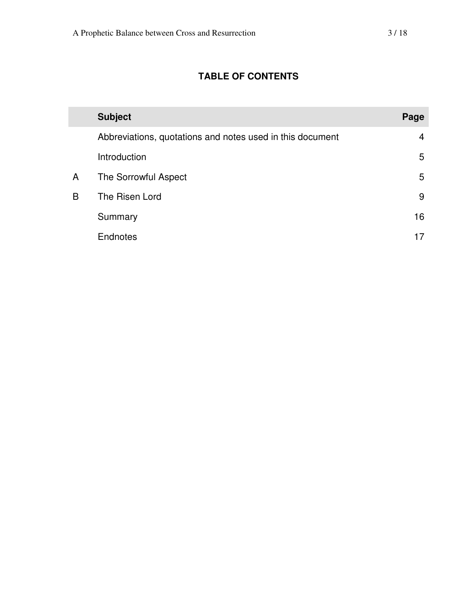### **TABLE OF CONTENTS**

|   | <b>Subject</b>                                            | Page |
|---|-----------------------------------------------------------|------|
|   | Abbreviations, quotations and notes used in this document | 4    |
|   | Introduction                                              | 5    |
| A | The Sorrowful Aspect                                      | 5    |
| B | The Risen Lord                                            | 9    |
|   | Summary                                                   | 16   |
|   | <b>Endnotes</b>                                           |      |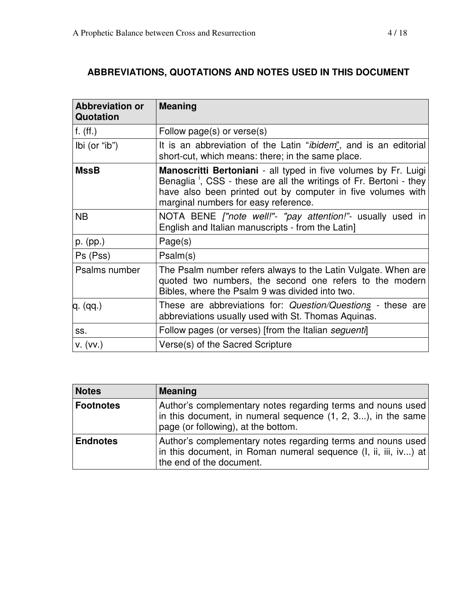## **ABBREVIATIONS, QUOTATIONS AND NOTES USED IN THIS DOCUMENT**

| <b>Abbreviation or</b><br>Quotation | <b>Meaning</b>                                                                                                                                                                                                                                           |
|-------------------------------------|----------------------------------------------------------------------------------------------------------------------------------------------------------------------------------------------------------------------------------------------------------|
| $f.$ (ff.)                          | Follow page(s) or verse(s)                                                                                                                                                                                                                               |
| Ibi (or "ib")                       | It is an abbreviation of the Latin " <i>ibidem</i> ", and is an editorial<br>short-cut, which means: there; in the same place.                                                                                                                           |
| <b>MssB</b>                         | Manoscritti Bertoniani - all typed in five volumes by Fr. Luigi<br>Benaglia <sup>1</sup> , CSS - these are all the writings of Fr. Bertoni - they<br>have also been printed out by computer in five volumes with<br>marginal numbers for easy reference. |
| <b>NB</b>                           | NOTA BENE ["note well!"- "pay attention!"- usually used in<br>English and Italian manuscripts - from the Latin]                                                                                                                                          |
| $p.$ (pp.)                          | Page(s)                                                                                                                                                                                                                                                  |
| Ps (Pss)                            | Psalm(s)                                                                                                                                                                                                                                                 |
| Psalms number                       | The Psalm number refers always to the Latin Vulgate. When are<br>quoted two numbers, the second one refers to the modern<br>Bibles, where the Psalm 9 was divided into two.                                                                              |
| q. (qq.)                            | These are abbreviations for: Question/Questions - these are<br>abbreviations usually used with St. Thomas Aquinas.                                                                                                                                       |
| SS.                                 | Follow pages (or verses) [from the Italian seguenti]                                                                                                                                                                                                     |
| V. (VV.)                            | Verse(s) of the Sacred Scripture                                                                                                                                                                                                                         |

| <b>Notes</b>    | <b>Meaning</b>                                                                                                                                                     |
|-----------------|--------------------------------------------------------------------------------------------------------------------------------------------------------------------|
| Footnotes       | Author's complementary notes regarding terms and nouns used<br>in this document, in numeral sequence (1, 2, 3), in the same<br>page (or following), at the bottom. |
| <b>Endnotes</b> | Author's complementary notes regarding terms and nouns used<br>in this document, in Roman numeral sequence (I, ii, iii, iv) at<br>the end of the document.         |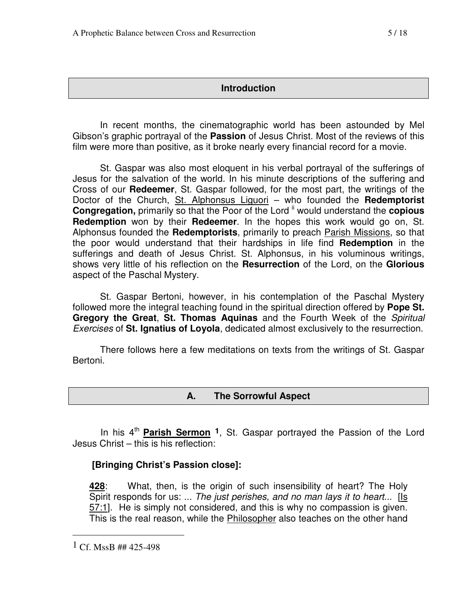#### **Introduction**

 In recent months, the cinematographic world has been astounded by Mel Gibson's graphic portrayal of the **Passion** of Jesus Christ. Most of the reviews of this film were more than positive, as it broke nearly every financial record for a movie.

 St. Gaspar was also most eloquent in his verbal portrayal of the sufferings of Jesus for the salvation of the world. In his minute descriptions of the suffering and Cross of our **Redeemer**, St. Gaspar followed, for the most part, the writings of the Doctor of the Church, St. Alphonsus Liguori – who founded the **Redemptorist Congregation, primarily so that the Poor of the Lord <sup>ii</sup> would understand the <b>copious Redemption** won by their **Redeemer**. In the hopes this work would go on, St. Alphonsus founded the **Redemptorists**, primarily to preach Parish Missions, so that the poor would understand that their hardships in life find **Redemption** in the sufferings and death of Jesus Christ. St. Alphonsus, in his voluminous writings, shows very little of his reflection on the **Resurrection** of the Lord, on the **Glorious**  aspect of the Paschal Mystery.

 St. Gaspar Bertoni, however, in his contemplation of the Paschal Mystery followed more the integral teaching found in the spiritual direction offered by **Pope St. Gregory the Great**, **St. Thomas Aquinas** and the Fourth Week of the Spiritual Exercises of **St. Ignatius of Loyola**, dedicated almost exclusively to the resurrection.

 There follows here a few meditations on texts from the writings of St. Gaspar Bertoni.

#### **A. The Sorrowful Aspect**

In his 4<sup>th</sup> Parish Sermon <sup>1</sup>, St. Gaspar portrayed the Passion of the Lord Jesus Christ – this is his reflection:

#### **[Bringing Christ's Passion close]:**

**428**: What, then, is the origin of such insensibility of heart? The Holy Spirit responds for us: ... The just perishes, and no man lays it to heart...  $[$ Is 57:1]. He is simply not considered, and this is why no compassion is given. This is the real reason, while the Philosopher also teaches on the other hand

 $1 \text{ Cf.}$  MssB ## 425-498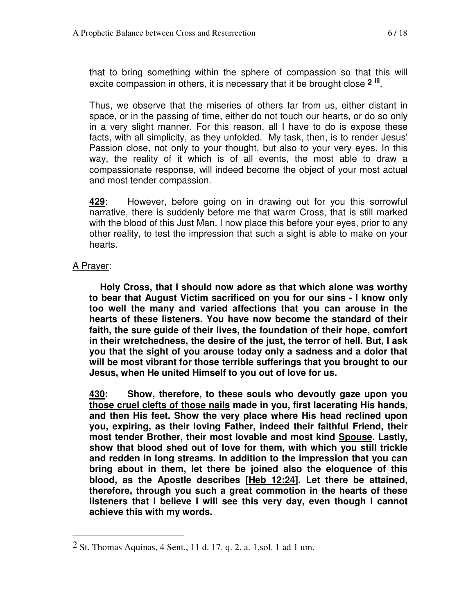that to bring something within the sphere of compassion so that this will excite compassion in others, it is necessary that it be brought close **<sup>2</sup> iii** .

Thus, we observe that the miseries of others far from us, either distant in space, or in the passing of time, either do not touch our hearts, or do so only in a very slight manner. For this reason, all I have to do is expose these facts, with all simplicity, as they unfolded. My task, then, is to render Jesus' Passion close, not only to your thought, but also to your very eyes. In this way, the reality of it which is of all events, the most able to draw a compassionate response, will indeed become the object of your most actual and most tender compassion.

**429**: However, before going on in drawing out for you this sorrowful narrative, there is suddenly before me that warm Cross, that is still marked with the blood of this Just Man. I now place this before your eyes, prior to any other reality, to test the impression that such a sight is able to make on your hearts.

#### A Prayer:

 $\overline{a}$ 

 **Holy Cross, that I should now adore as that which alone was worthy to bear that August Victim sacrificed on you for our sins - I know only too well the many and varied affections that you can arouse in the hearts of these listeners. You have now become the standard of their faith, the sure guide of their lives, the foundation of their hope, comfort in their wretchedness, the desire of the just, the terror of hell. But, I ask you that the sight of you arouse today only a sadness and a dolor that will be most vibrant for those terrible sufferings that you brought to our Jesus, when He united Himself to you out of love for us.** 

**430: Show, therefore, to these souls who devoutly gaze upon you those cruel clefts of those nails made in you, first lacerating His hands, and then His feet. Show the very place where His head reclined upon you, expiring, as their loving Father, indeed their faithful Friend, their most tender Brother, their most lovable and most kind Spouse. Lastly, show that blood shed out of love for them, with which you still trickle and redden in long streams. In addition to the impression that you can bring about in them, let there be joined also the eloquence of this blood, as the Apostle describes [Heb 12:24]. Let there be attained, therefore, through you such a great commotion in the hearts of these listeners that I believe I will see this very day, even though I cannot achieve this with my words.** 

<sup>2</sup> St. Thomas Aquinas, 4 Sent., 11 d. 17. q. 2. a. 1,sol. 1 ad 1 um.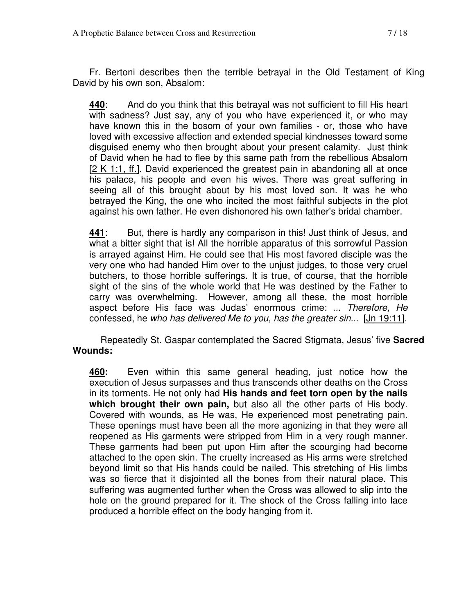Fr. Bertoni describes then the terrible betrayal in the Old Testament of King David by his own son, Absalom:

**440**: And do you think that this betrayal was not sufficient to fill His heart with sadness? Just say, any of you who have experienced it, or who may have known this in the bosom of your own families - or, those who have loved with excessive affection and extended special kindnesses toward some disguised enemy who then brought about your present calamity. Just think of David when he had to flee by this same path from the rebellious Absalom [2 K 1:1, ff.]. David experienced the greatest pain in abandoning all at once his palace, his people and even his wives. There was great suffering in seeing all of this brought about by his most loved son. It was he who betrayed the King, the one who incited the most faithful subjects in the plot against his own father. He even dishonored his own father's bridal chamber.

**441**: But, there is hardly any comparison in this! Just think of Jesus, and what a bitter sight that is! All the horrible apparatus of this sorrowful Passion is arrayed against Him. He could see that His most favored disciple was the very one who had handed Him over to the unjust judges, to those very cruel butchers, to those horrible sufferings. It is true, of course, that the horrible sight of the sins of the whole world that He was destined by the Father to carry was overwhelming. However, among all these, the most horrible aspect before His face was Judas' enormous crime: ... Therefore, He confessed, he who has delivered Me to you, has the greater sin... [Jn 19:11].

Repeatedly St. Gaspar contemplated the Sacred Stigmata, Jesus' five **Sacred Wounds:** 

**460:** Even within this same general heading, just notice how the execution of Jesus surpasses and thus transcends other deaths on the Cross in its torments. He not only had **His hands and feet torn open by the nails which brought their own pain,** but also all the other parts of His body. Covered with wounds, as He was, He experienced most penetrating pain. These openings must have been all the more agonizing in that they were all reopened as His garments were stripped from Him in a very rough manner. These garments had been put upon Him after the scourging had become attached to the open skin. The cruelty increased as His arms were stretched beyond limit so that His hands could be nailed. This stretching of His limbs was so fierce that it disjointed all the bones from their natural place. This suffering was augmented further when the Cross was allowed to slip into the hole on the ground prepared for it. The shock of the Cross falling into lace produced a horrible effect on the body hanging from it.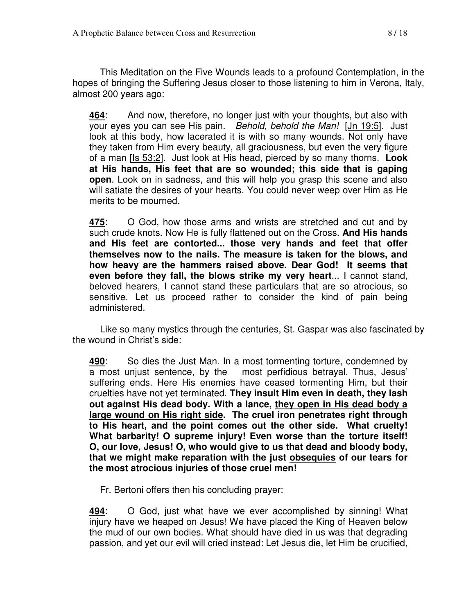This Meditation on the Five Wounds leads to a profound Contemplation, in the hopes of bringing the Suffering Jesus closer to those listening to him in Verona, Italy, almost 200 years ago:

**464**: And now, therefore, no longer just with your thoughts, but also with your eyes you can see His pain. Behold, behold the Man! [Jn 19:5]. Just look at this body, how lacerated it is with so many wounds. Not only have they taken from Him every beauty, all graciousness, but even the very figure of a man [Is 53:2]. Just look at His head, pierced by so many thorns. **Look at His hands, His feet that are so wounded; this side that is gaping open**. Look on in sadness, and this will help you grasp this scene and also will satiate the desires of your hearts. You could never weep over Him as He merits to be mourned.

**475**: O God, how those arms and wrists are stretched and cut and by such crude knots. Now He is fully flattened out on the Cross. **And His hands and His feet are contorted... those very hands and feet that offer themselves now to the nails. The measure is taken for the blows, and how heavy are the hammers raised above. Dear God! It seems that even before they fall, the blows strike my very heart**... I cannot stand, beloved hearers, I cannot stand these particulars that are so atrocious, so sensitive. Let us proceed rather to consider the kind of pain being administered.

Like so many mystics through the centuries, St. Gaspar was also fascinated by the wound in Christ's side:

**490**: So dies the Just Man. In a most tormenting torture, condemned by a most unjust sentence, by the most perfidious betrayal. Thus, Jesus' suffering ends. Here His enemies have ceased tormenting Him, but their cruelties have not yet terminated. **They insult Him even in death, they lash out against His dead body. With a lance, they open in His dead body a large wound on His right side. The cruel iron penetrates right through to His heart, and the point comes out the other side. What cruelty! What barbarity! O supreme injury! Even worse than the torture itself! O, our love, Jesus! O, who would give to us that dead and bloody body, that we might make reparation with the just obsequies of our tears for the most atrocious injuries of those cruel men!** 

Fr. Bertoni offers then his concluding prayer:

**494**: O God, just what have we ever accomplished by sinning! What injury have we heaped on Jesus! We have placed the King of Heaven below the mud of our own bodies. What should have died in us was that degrading passion, and yet our evil will cried instead: Let Jesus die, let Him be crucified,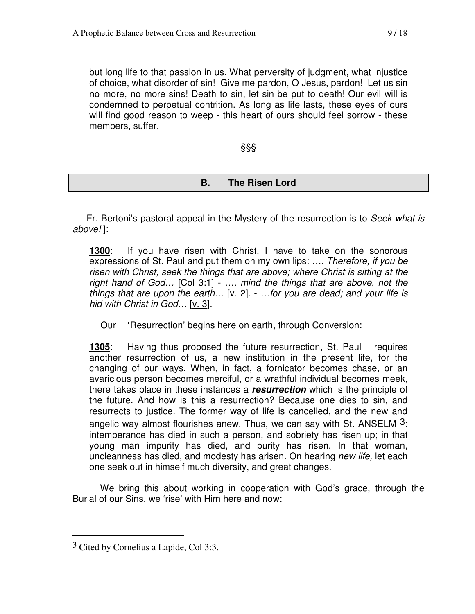but long life to that passion in us. What perversity of judgment, what injustice of choice, what disorder of sin! Give me pardon, O Jesus, pardon! Let us sin no more, no more sins! Death to sin, let sin be put to death! Our evil will is condemned to perpetual contrition. As long as life lasts, these eyes of ours will find good reason to weep - this heart of ours should feel sorrow - these members, suffer.

§§§

#### **B. The Risen Lord**

Fr. Bertoni's pastoral appeal in the Mystery of the resurrection is to Seek what is above! ]:

**1300**: If you have risen with Christ, I have to take on the sonorous expressions of St. Paul and put them on my own lips: .... Therefore, if you be risen with Christ, seek the things that are above; where Christ is sitting at the right hand of God… [Col 3:1] - …. mind the things that are above, not the things that are upon the earth...  $[v, 2]$ . - ... for you are dead; and your life is hid with Christ in God... [v. 3].

Our **'**Resurrection' begins here on earth, through Conversion:

**1305**: Having thus proposed the future resurrection, St. Paul requires another resurrection of us, a new institution in the present life, for the changing of our ways. When, in fact, a fornicator becomes chase, or an avaricious person becomes merciful, or a wrathful individual becomes meek, there takes place in these instances a **resurrection** which is the principle of the future. And how is this a resurrection? Because one dies to sin, and resurrects to justice. The former way of life is cancelled, and the new and angelic way almost flourishes anew. Thus, we can say with St. ANSELM 3: intemperance has died in such a person, and sobriety has risen up; in that young man impurity has died, and purity has risen. In that woman, uncleanness has died, and modesty has arisen. On hearing new life, let each one seek out in himself much diversity, and great changes.

We bring this about working in cooperation with God's grace, through the Burial of our Sins, we 'rise' with Him here and now:

<sup>3</sup> Cited by Cornelius a Lapide, Col 3:3.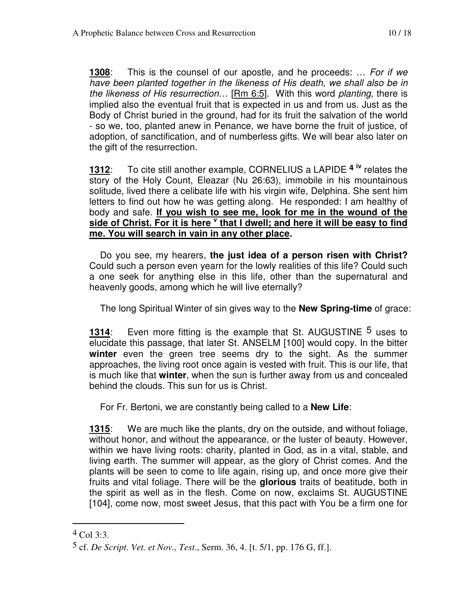**1308**: This is the counsel of our apostle, and he proceeds: … For if we have been planted together in the likeness of His death, we shall also be in the likeness of His resurrection… [Rm 6:5]. With this word planting, there is implied also the eventual fruit that is expected in us and from us. Just as the Body of Christ buried in the ground, had for its fruit the salvation of the world - so we, too, planted anew in Penance, we have borne the fruit of justice, of adoption, of sanctification, and of numberless gifts. We will bear also later on the gift of the resurrection.

**1312**: To cite still another example, CORNELIUS a LAPIDE **<sup>4</sup> iv** relates the story of the Holy Count, Eleazar (Nu 26:63), immobile in his mountainous solitude, lived there a celibate life with his virgin wife, Delphina. She sent him letters to find out how he was getting along. He responded: I am healthy of body and safe. **If you wish to see me, look for me in the wound of the**  side of Christ. For it is here <sup>v</sup> that I dwell; and here it will be easy to find **me. You will search in vain in any other place.** 

 Do you see, my hearers, **the just idea of a person risen with Christ?** Could such a person even yearn for the lowly realities of this life? Could such a one seek for anything else in this life, other than the supernatural and heavenly goods, among which he will live eternally?

The long Spiritual Winter of sin gives way to the **New Spring-time** of grace:

**1314**: Even more fitting is the example that St. AUGUSTINE <sup>5</sup> uses to elucidate this passage, that later St. ANSELM [100] would copy. In the bitter **winter** even the green tree seems dry to the sight. As the summer approaches, the living root once again is vested with fruit. This is our life, that is much like that **winter**, when the sun is further away from us and concealed behind the clouds. This sun for us is Christ.

For Fr. Bertoni, we are constantly being called to a **New Life**:

**1315**: We are much like the plants, dry on the outside, and without foliage, without honor, and without the appearance, or the luster of beauty. However, within we have living roots: charity, planted in God, as in a vital, stable, and living earth. The summer will appear, as the glory of Christ comes. And the plants will be seen to come to life again, rising up, and once more give their fruits and vital foliage. There will be the **glorious** traits of beatitude, both in the spirit as well as in the flesh. Come on now, exclaims St. AUGUSTINE [104], come now, most sweet Jesus, that this pact with You be a firm one for

 $^{4}$  Col 3:3.

<sup>5</sup> cf. *De Script. Vet. et Nov., Test*., Serm. 36, 4. [t. 5/1, pp. 176 G, ff.].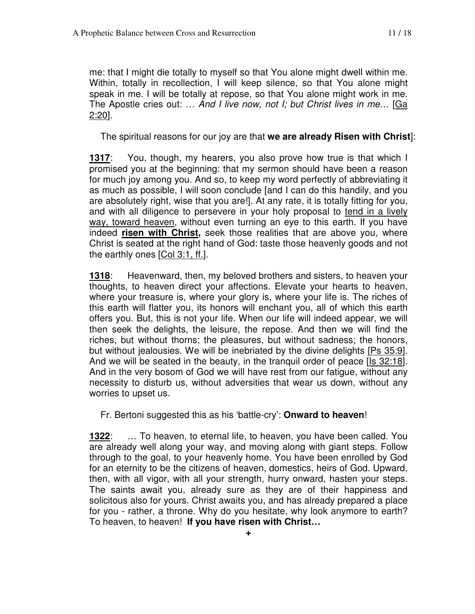me: that I might die totally to myself so that You alone might dwell within me. Within, totally in recollection, I will keep silence, so that You alone might speak in me. I will be totally at repose, so that You alone might work in me. The Apostle cries out: ... And I live now, not I; but Christ lives in me... [Ga 2:20].

The spiritual reasons for our joy are that **we are already Risen with Christ**]:

**1317**: You, though, my hearers, you also prove how true is that which I promised you at the beginning: that my sermon should have been a reason for much joy among you. And so, to keep my word perfectly of abbreviating it as much as possible, I will soon conclude [and I can do this handily, and you are absolutely right, wise that you are!]. At any rate, it is totally fitting for you, and with all diligence to persevere in your holy proposal to tend in a lively way, toward heaven, without even turning an eye to this earth. If you have indeed **risen with Christ,** seek those realities that are above you, where Christ is seated at the right hand of God: taste those heavenly goods and not the earthly ones [Col 3:1, ff.].

**1318**: Heavenward, then, my beloved brothers and sisters, to heaven your thoughts, to heaven direct your affections. Elevate your hearts to heaven, where your treasure is, where your glory is, where your life is. The riches of this earth will flatter you, its honors will enchant you, all of which this earth offers you. But, this is not your life. When our life will indeed appear, we will then seek the delights, the leisure, the repose. And then we will find the riches, but without thorns; the pleasures, but without sadness; the honors, but without jealousies. We will be inebriated by the divine delights [Ps 35:9]. And we will be seated in the beauty, in the tranquil order of peace [Is 32:18]. And in the very bosom of God we will have rest from our fatigue, without any necessity to disturb us, without adversities that wear us down, without any worries to upset us.

Fr. Bertoni suggested this as his 'battle-cry': **Onward to heaven**!

**1322**: … To heaven, to eternal life, to heaven, you have been called. You are already well along your way, and moving along with giant steps. Follow through to the goal, to your heavenly home. You have been enrolled by God for an eternity to be the citizens of heaven, domestics, heirs of God. Upward, then, with all vigor, with all your strength, hurry onward, hasten your steps. The saints await you, already sure as they are of their happiness and solicitous also for yours. Christ awaits you, and has already prepared a place for you - rather, a throne. Why do you hesitate, why look anymore to earth? To heaven, to heaven! **If you have risen with Christ…**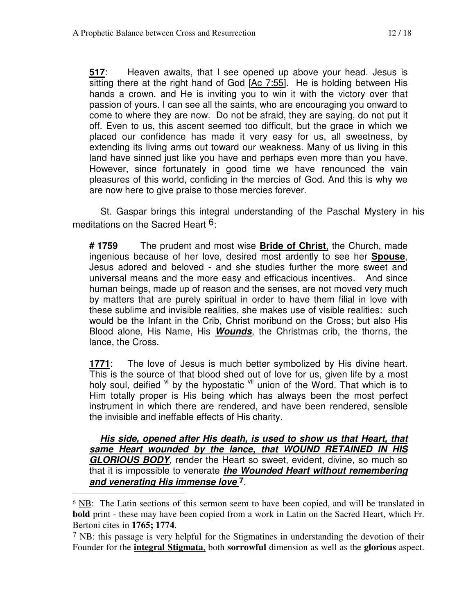**517**: Heaven awaits, that I see opened up above your head. Jesus is sitting there at the right hand of God [Ac 7:55]. He is holding between His hands a crown, and He is inviting you to win it with the victory over that passion of yours. I can see all the saints, who are encouraging you onward to come to where they are now. Do not be afraid, they are saying, do not put it off. Even to us, this ascent seemed too difficult, but the grace in which we placed our confidence has made it very easy for us, all sweetness, by extending its living arms out toward our weakness. Many of us living in this land have sinned just like you have and perhaps even more than you have. However, since fortunately in good time we have renounced the vain pleasures of this world, confiding in the mercies of God. And this is why we are now here to give praise to those mercies forever.

St. Gaspar brings this integral understanding of the Paschal Mystery in his meditations on the Sacred Heart <sup>6</sup>:

**# 1759** The prudent and most wise **Bride of Christ**, the Church, made ingenious because of her love, desired most ardently to see her **Spouse**, Jesus adored and beloved - and she studies further the more sweet and universal means and the more easy and efficacious incentives. And since human beings, made up of reason and the senses, are not moved very much by matters that are purely spiritual in order to have them filial in love with these sublime and invisible realities, she makes use of visible realities: such would be the Infant in the Crib, Christ moribund on the Cross; but also His Blood alone, His Name, His **Wounds**, the Christmas crib, the thorns, the lance, the Cross.

**1771**: The love of Jesus is much better symbolized by His divine heart. This is the source of that blood shed out of love for us, given life by a most holy soul, deified  $\frac{v_i}{v}$  by the hypostatic  $\frac{v_i}{v}$  union of the Word. That which is to Him totally proper is His being which has always been the most perfect instrument in which there are rendered, and have been rendered, sensible the invisible and ineffable effects of His charity.

**His side, opened after His death, is used to show us that Heart, that same Heart wounded by the lance, that WOUND RETAINED IN HIS GLORIOUS BODY**, render the Heart so sweet, evident, divine, so much so that it is impossible to venerate **the Wounded Heart without remembering and venerating His immense love 7**.

<sup>6</sup> NB: The Latin sections of this sermon seem to have been copied, and will be translated in **bold** print - these may have been copied from a work in Latin on the Sacred Heart, which Fr. Bertoni cites in **1765; 1774**.

<sup>7</sup> NB: this passage is very helpful for the Stigmatines in understanding the devotion of their Founder for the **integral Stigmata**, both **sorrowful** dimension as well as the **glorious** aspect.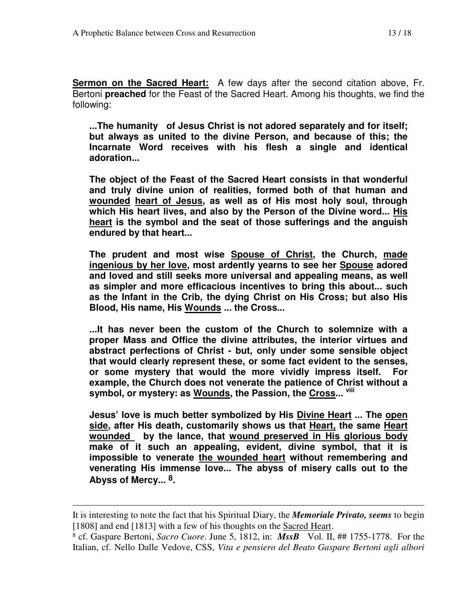**Sermon on the Sacred Heart:** A few days after the second citation above, Fr. Bertoni **preached** for the Feast of the Sacred Heart. Among his thoughts, we find the following:

**...The humanity of Jesus Christ is not adored separately and for itself; but always as united to the divine Person, and because of this; the Incarnate Word receives with his flesh a single and identical adoration...** 

**The object of the Feast of the Sacred Heart consists in that wonderful and truly divine union of realities, formed both of that human and wounded heart of Jesus, as well as of His most holy soul, through which His heart lives, and also by the Person of the Divine word... His heart is the symbol and the seat of those sufferings and the anguish endured by that heart...** 

**The prudent and most wise Spouse of Christ, the Church, made ingenious by her love, most ardently yearns to see her Spouse adored and loved and still seeks more universal and appealing means, as well as simpler and more efficacious incentives to bring this about... such as the Infant in the Crib, the dying Christ on His Cross; but also His Blood, His name, His Wounds ... the Cross...** 

**...It has never been the custom of the Church to solemnize with a proper Mass and Office the divine attributes, the interior virtues and abstract perfections of Christ - but, only under some sensible object that would clearly represent these, or some fact evident to the senses, or some mystery that would the more vividly impress itself. For example, the Church does not venerate the patience of Christ without a symbol, or mystery: as Wounds, the Passion, the Cross... viii**

**Jesus' love is much better symbolized by His Divine Heart ... The open side, after His death, customarily shows us that Heart, the same Heart wounded by the lance, that wound preserved in His glorious body make of it such an appealing, evident, divine symbol, that it is impossible to venerate the wounded heart without remembering and venerating His immense love... The abyss of misery calls out to the Abyss of Mercy... 8.** 

It is interesting to note the fact that his Spiritual Diary, the *Memoriale Privato, seems* to begin [1808] and end [1813] with a few of his thoughts on the Sacred Heart.

<sup>8</sup> cf. Gaspare Bertoni, *Sacro Cuore*. June 5, 1812, in: *MssB* Vol. II, ## 1755-1778. For the Italian, cf. Nello Dalle Vedove, CSS, *Vita e pensiero del Beato Gaspare Bertoni agli albori*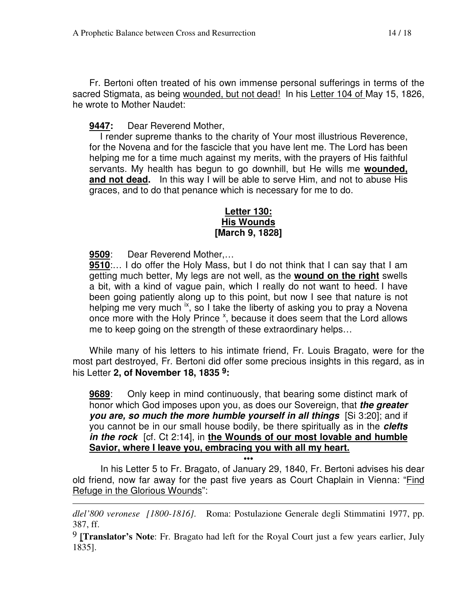Fr. Bertoni often treated of his own immense personal sufferings in terms of the sacred Stigmata, as being wounded, but not dead! In his Letter 104 of May 15, 1826, he wrote to Mother Naudet:

#### **9447:** Dear Reverend Mother,

 I render supreme thanks to the charity of Your most illustrious Reverence, for the Novena and for the fascicle that you have lent me. The Lord has been helping me for a time much against my merits, with the prayers of His faithful servants. My health has begun to go downhill, but He wills me **wounded, and not dead.** In this way I will be able to serve Him, and not to abuse His graces, and to do that penance which is necessary for me to do.

#### **Letter 130: His Wounds [March 9, 1828]**

**9509**: Dear Reverend Mother,…

 $\overline{a}$ 

**9510**:… I do offer the Holy Mass, but I do not think that I can say that I am getting much better, My legs are not well, as the **wound on the right** swells a bit, with a kind of vague pain, which I really do not want to heed. I have been going patiently along up to this point, but now I see that nature is not helping me very much  $\frac{1}{x}$ , so I take the liberty of asking you to pray a Novena once more with the Holy Prince  $x$ , because it does seem that the Lord allows me to keep going on the strength of these extraordinary helps…

While many of his letters to his intimate friend, Fr. Louis Bragato, were for the most part destroyed, Fr. Bertoni did offer some precious insights in this regard, as in his Letter **2, of November 18, 1835 9:** 

**9689**: Only keep in mind continuously, that bearing some distinct mark of honor which God imposes upon you, as does our Sovereign, that **the greater you are, so much the more humble yourself in all things** [Si 3:20]; and if you cannot be in our small house bodily, be there spiritually as in the **clefts in the rock** [cf. Ct 2:14], in **the Wounds of our most lovable and humble Savior, where I leave you, embracing you with all my heart.**

In his Letter 5 to Fr. Bragato, of January 29, 1840, Fr. Bertoni advises his dear old friend, now far away for the past five years as Court Chaplain in Vienna: "Find Refuge in the Glorious Wounds":

**•••** 

*dlel'800 veronese [1800-1816].* Roma: Postulazione Generale degli Stimmatini 1977, pp. 387, ff.

9 **[Translator's Note**: Fr. Bragato had left for the Royal Court just a few years earlier, July 1835].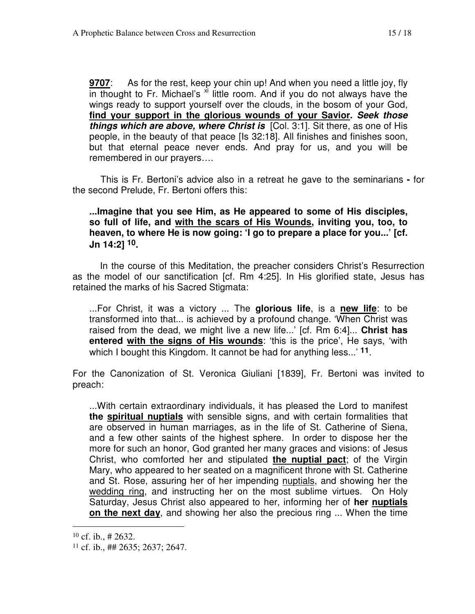**9707**: As for the rest, keep your chin up! And when you need a little joy, fly in thought to Fr. Michael's  $\frac{x}{x}$  little room. And if you do not always have the wings ready to support yourself over the clouds, in the bosom of your God, **find your support in the glorious wounds of your Savior. Seek those things which are above, where Christ is** [Col. 3:1]. Sit there, as one of His people, in the beauty of that peace [Is 32:18]. All finishes and finishes soon, but that eternal peace never ends. And pray for us, and you will be remembered in our prayers….

This is Fr. Bertoni's advice also in a retreat he gave to the seminarians **-** for the second Prelude, Fr. Bertoni offers this:

#### **...Imagine that you see Him, as He appeared to some of His disciples, so full of life, and with the scars of His Wounds, inviting you, too, to heaven, to where He is now going: 'I go to prepare a place for you...' [cf. Jn 14:2] 10.**

 In the course of this Meditation, the preacher considers Christ's Resurrection as the model of our sanctification [cf. Rm 4:25]. In His glorified state, Jesus has retained the marks of his Sacred Stigmata:

...For Christ, it was a victory ... The **glorious life**, is a **new life**: to be transformed into that... is achieved by a profound change. 'When Christ was raised from the dead, we might live a new life...' [cf. Rm 6:4]... **Christ has entered with the signs of His wounds**: 'this is the price', He says, 'with which I bought this Kingdom. It cannot be had for anything less...' **11**.

For the Canonization of St. Veronica Giuliani [1839], Fr. Bertoni was invited to preach:

...With certain extraordinary individuals, it has pleased the Lord to manifest **the spiritual nuptials** with sensible signs, and with certain formalities that are observed in human marriages, as in the life of St. Catherine of Siena, and a few other saints of the highest sphere. In order to dispose her the more for such an honor, God granted her many graces and visions: of Jesus Christ, who comforted her and stipulated **the nuptial pact**; of the Virgin Mary, who appeared to her seated on a magnificent throne with St. Catherine and St. Rose, assuring her of her impending nuptials, and showing her the wedding ring, and instructing her on the most sublime virtues. On Holy Saturday, Jesus Christ also appeared to her, informing her of **her nuptials on the next day**, and showing her also the precious ring ... When the time

 $10$  cf. ib., # 2632.

<sup>11</sup> cf. ib., ## 2635; 2637; 2647.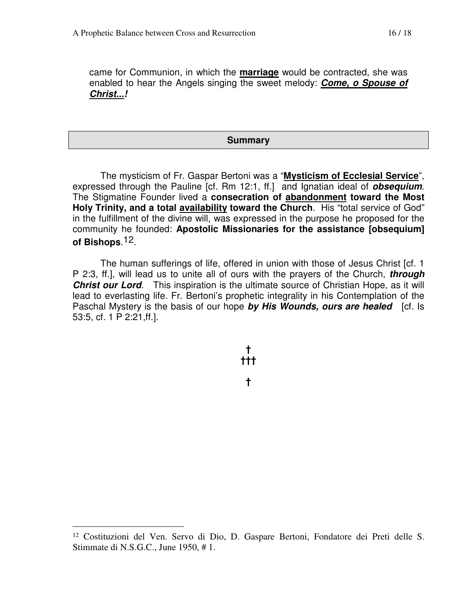came for Communion, in which the **marriage** would be contracted, she was enabled to hear the Angels singing the sweet melody: **Come, o Spouse of Christ...!** 

#### **Summary**

The mysticism of Fr. Gaspar Bertoni was a "**Mysticism of Ecclesial Service**", expressed through the Pauline [cf. Rm 12:1, ff.] and Ignatian ideal of **obsequium**. The Stigmatine Founder lived a **consecration of abandonment toward the Most Holy Trinity, and a total availability toward the Church**. His "total service of God" in the fulfillment of the divine will, was expressed in the purpose he proposed for the community he founded: **Apostolic Missionaries for the assistance [obsequium] of Bishops**.12.

The human sufferings of life, offered in union with those of Jesus Christ [cf. 1 P 2:3, ff.], will lead us to unite all of ours with the prayers of the Church, **through Christ our Lord**. This inspiration is the ultimate source of Christian Hope, as it will lead to everlasting life. Fr. Bertoni's prophetic integrality in his Contemplation of the Paschal Mystery is the basis of our hope **by His Wounds, ours are healed** [cf. Is 53:5, cf. 1 P 2:21,ff.].

**†** 

<sup>12</sup> Costituzioni del Ven. Servo di Dio, D. Gaspare Bertoni, Fondatore dei Preti delle S. Stimmate di N.S.G.C., June 1950, # 1.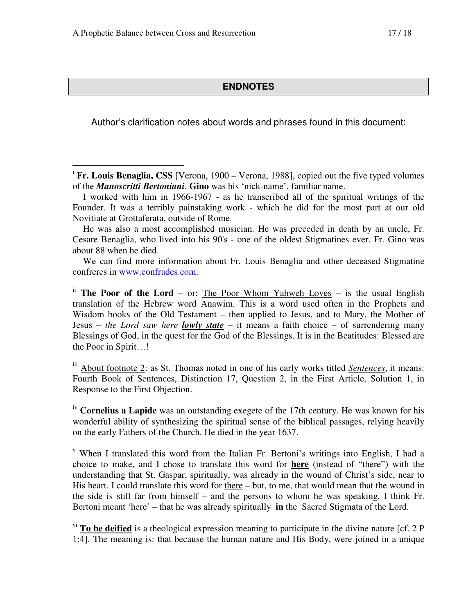$\overline{a}$ 

#### **ENDNOTES**

Author's clarification notes about words and phrases found in this document:

<sup>i</sup> Fr. Louis Benaglia, CSS [Verona, 1900 – Verona, 1988], copied out the five typed volumes of the *Manoscritti Bertoniani*. **Gino** was his 'nick-name', familiar name.

He was also a most accomplished musician. He was preceded in death by an uncle, Fr. Cesare Benaglia, who lived into his 90's - one of the oldest Stigmatines ever. Fr. Gino was about 88 when he died.

We can find more information about Fr. Louis Benaglia and other deceased Stigmatine confreres in www.confrades.com.

ii **The Poor of the Lord** – or: The Poor Whom Yahweh Loves – is the usual English translation of the Hebrew word Anawim. This is a word used often in the Prophets and Wisdom books of the Old Testament – then applied to Jesus, and to Mary, the Mother of Jesus – *the Lord saw here lowly state* – it means a faith choice – of surrendering many Blessings of God, in the quest for the God of the Blessings. It is in the Beatitudes: Blessed are the Poor in Spirit…!

iii About footnote 2: as St. Thomas noted in one of his early works titled *Sentences*, it means: Fourth Book of Sentences, Distinction 17, Question 2, in the First Article, Solution 1, in Response to the First Objection.

iv **Cornelius a Lapide** was an outstanding exegete of the 17th century. He was known for his wonderful ability of synthesizing the spiritual sense of the biblical passages, relying heavily on the early Fathers of the Church. He died in the year 1637.

v When I translated this word from the Italian Fr. Bertoni's writings into English, I had a choice to make, and I chose to translate this word for **here** (instead of "there") with the understanding that St. Gaspar, spiritually, was already in the wound of Christ's side, near to His heart. I could translate this word for there – but, to me, that would mean that the wound in the side is still far from himself – and the persons to whom he was speaking. I think Fr. Bertoni meant 'here' – that he was already spiritually **in** the Sacred Stigmata of the Lord.

<sup>vi</sup> To be deified is a theological expression meaning to participate in the divine nature [cf. 2 P 1:4]. The meaning is: that because the human nature and His Body, were joined in a unique

I worked with him in 1966-1967 - as he transcribed all of the spiritual writings of the Founder. It was a terribly painstaking work - which he did for the most part at our old Novitiate at Grottaferata, outside of Rome.